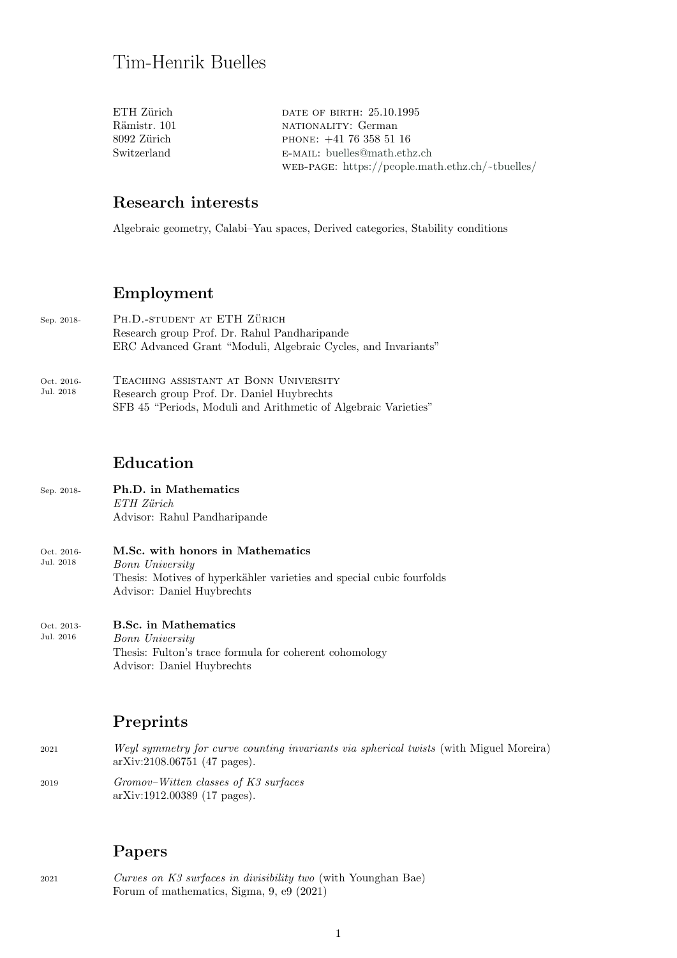| ETH Zürich-  | DATE OF BIRTH: 25.10.1995                        |
|--------------|--------------------------------------------------|
| Rämistr. 101 | NATIONALITY: German                              |
| 8092 Zürich- | PHONE: $+41$ 76 358 51 16                        |
| Switzerland  | E-MAIL: buelles@math.ethz.ch                     |
|              | WEB-PAGE: https://people.math.ethz.ch/~tbuelles/ |
|              |                                                  |

### Research interests

Algebraic geometry, Calabi–Yau spaces, Derived categories, Stability conditions

### Employment

- Sep. 2018- PH.D.-STUDENT AT ETH ZÜRICH Research group Prof. Dr. Rahul Pandharipande ERC Advanced Grant "Moduli, Algebraic Cycles, and Invariants"
- Oct. 2016- Jul. 2018 Teaching assistant at Bonn University Research group Prof. Dr. Daniel Huybrechts SFB 45 "Periods, Moduli and Arithmetic of Algebraic Varieties"

#### Education

- Sep. 2018- Ph.D. in Mathematics ETH Zürich Advisor: Rahul Pandharipande
- Oct. 2016- Jul. 2018 M.Sc. with honors in Mathematics Bonn University Thesis: Motives of hyperkähler varieties and special cubic fourfolds Advisor: Daniel Huybrechts
- Oct. 2013- Jul. 2016 B.Sc. in Mathematics Bonn University Thesis: Fulton's trace formula for coherent cohomology Advisor: Daniel Huybrechts

### Preprints

- <sup>2021</sup> Weyl symmetry for curve counting invariants via spherical twists (with Miguel Moreira) arXiv:2108.06751 (47 pages).
- <sup>2019</sup> Gromov–Witten classes of K3 surfaces arXiv:1912.00389 (17 pages).

### Papers

<sup>2021</sup> Curves on K3 surfaces in divisibility two (with Younghan Bae) Forum of mathematics, Sigma, 9, e9 (2021)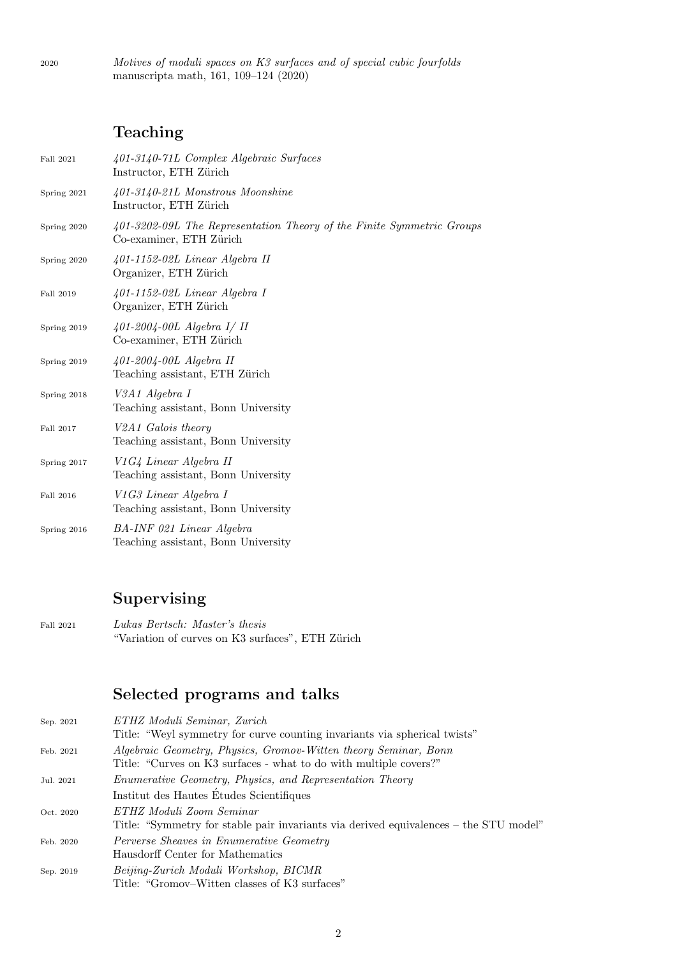2020 Motives of moduli spaces on K3 surfaces and of special cubic fourfolds manuscripta math, 161, 109–124 (2020)

# Teaching

| Fall 2021   | 401-3140-71L Complex Algebraic Surfaces<br>Instructor, ETH Zürich                                |
|-------------|--------------------------------------------------------------------------------------------------|
| Spring 2021 | 401-3140-21L Monstrous Moonshine<br>Instructor, ETH Zürich                                       |
| Spring 2020 | 401-3202-09L The Representation Theory of the Finite Symmetric Groups<br>Co-examiner, ETH Zürich |
| Spring 2020 | $401-1152-02L$ Linear Algebra II<br>Organizer, ETH Zürich                                        |
| Fall 2019   | $401-1152-02L$ Linear Algebra I<br>Organizer, ETH Zürich                                         |
| Spring 2019 | 401-2004-00L Algebra I/ II<br>Co-examiner, ETH Zürich                                            |
| Spring 2019 | $401-2004-00L$ Algebra II<br>Teaching assistant, ETH Zürich                                      |
| Spring 2018 | V3A1 Algebra I<br>Teaching assistant, Bonn University                                            |
| Fall 2017   | V2A1 Galois theory<br>Teaching assistant, Bonn University                                        |
| Spring 2017 | V1G4 Linear Algebra II<br>Teaching assistant, Bonn University                                    |
| Fall 2016   | V1G3 Linear Algebra I<br>Teaching assistant, Bonn University                                     |
| Spring 2016 | BA-INF 021 Linear Algebra<br>Teaching assistant, Bonn University                                 |

# Supervising

Fall 2021 Lukas Bertsch: Master's thesis "Variation of curves on K3 surfaces", ETH Zürich

# Selected programs and talks

| Sep. 2021 | ETHZ Moduli Seminar, Zurich<br>Title: "Weyl symmetry for curve counting invariants via spherical twists"                             |
|-----------|--------------------------------------------------------------------------------------------------------------------------------------|
| Feb. 2021 | Algebraic Geometry, Physics, Gromov-Witten theory Seminar, Bonn<br>Title: "Curves on K3 surfaces - what to do with multiple covers?" |
| Jul. 2021 | <i>Enumerative Geometry, Physics, and Representation Theory</i>                                                                      |
|           | Institut des Hautes Etudes Scientifiques                                                                                             |
| Oct. 2020 | ETHZ Moduli Zoom Seminar<br>Title: "Symmetry for stable pair invariants via derived equivalences – the STU model"                    |
| Feb. 2020 | Perverse Sheaves in Enumerative Geometry<br>Hausdorff Center for Mathematics                                                         |
| Sep. 2019 | Beijing-Zurich Moduli Workshop, BICMR<br>Title: "Gromov-Witten classes of K3 surfaces"                                               |